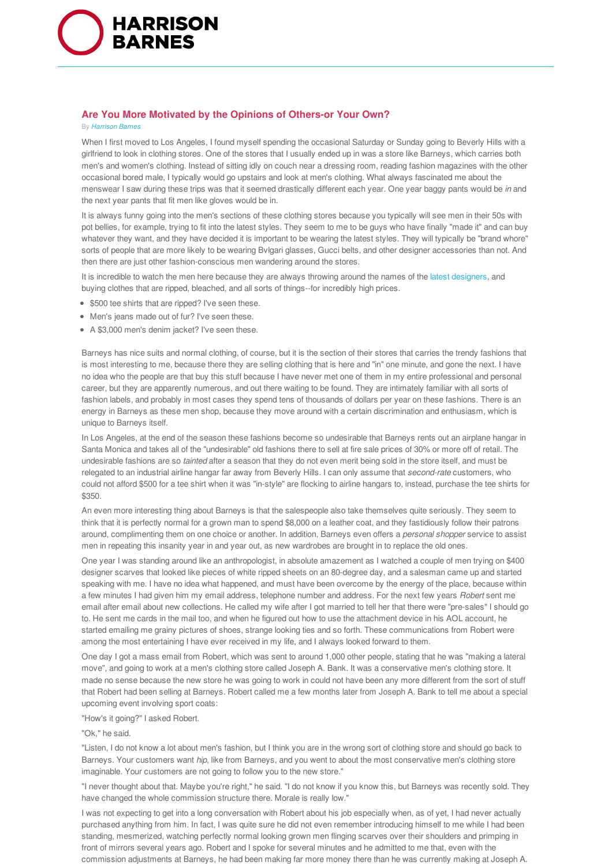

# **Are You More Motivated by the Opinions of Others-or Your Own?**

#### By *Harrison Barnes*

When I first moved to Los Angeles, I found myself spending the occasional Saturday or Sunday going to Beverly Hills with a girlfriend to look in clothing stores. One of the stores that I usually ended up in was a store like Barneys, which carries both men's and women's clothing. Instead of sitting idly on couch near a dressing room, reading fashion magazines with the other occasional bored male, I typically would go upstairs and look at men's clothing. What always fascinated me about the menswear I saw during these trips was that it seemed drastically different each year. One year baggy pants would be *in* and the next year pants that fit men like gloves would be in.

It is always funny going into the men's sections of these clothing stores because you typically will see men in their 50s with pot bellies, for example, trying to fit into the latest styles. They seem to me to be guys who have finally "made it" and can buy whatever they want, and they have decided it is important to be wearing the latest styles. They will typically be "brand whore" sorts of people that are more likely to be wearing Bvlgari glasses, Gucci belts, and other designer accessories than not. And then there are just other fashion-conscious men wandering around the stores.

It is incredible to watch the men here because they are always throwing around the names of the latest designers, and buying clothes that are ripped, bleached, and all sorts of things--for incredibly high prices.

- \$500 tee shirts that are ripped? I've seen these.
- Men's jeans made out of fur? I've seen these.
- A \$3,000 men's denim jacket? I've seen these.

Barneys has nice suits and normal clothing, of course, but it is the section of their stores that carries the trendy fashions that is most interesting to me, because there they are selling clothing that is here and "in" one minute, and gone the next. I have no idea who the people are that buy this stuff because I have never met one of them in my entire professional and personal career, but they are apparently numerous, and out there waiting to be found. They are intimately familiar with all sorts of fashion labels, and probably in most cases they spend tens of thousands of dollars per year on these fashions. There is an energy in Barneys as these men shop, because they move around with a certain discrimination and enthusiasm, which is unique to Barneys itself.

In Los Angeles, at the end of the season these fashions become so undesirable that Barneys rents out an airplane hangar in Santa Monica and takes all of the "undesirable" old fashions there to sell at fire sale prices of 30% or more off of retail. The undesirable fashions are so *tainted* after a season that they do not even merit being sold in the store itself, and must be relegated to an industrial airline hangar far away from Beverly Hills. I can only assume that *second-rate* customers, who could not afford \$500 for a tee shirt when it was "in-style" are flocking to airline hangars to, instead, purchase the tee shirts for \$350.

An even more interesting thing about Barneys is that the salespeople also take themselves quite seriously. They seem to think that it is perfectly normal for a grown man to spend \$8,000 on a leather coat, and they fastidiously follow their patrons around, complimenting them on one choice or another. In addition, Barneys even offers a *personal shopper* service to assist men in repeating this insanity year in and year out, as new wardrobes are brought in to replace the old ones.

One year I was standing around like an anthropologist, in absolute amazement as I watched a couple of men trying on \$400 designer scarves that looked like pieces of white ripped sheets on an 80-degree day, and a salesman came up and started speaking with me. I have no idea what happened, and must have been overcome by the energy of the place, because within a few minutes I had given him my email address, telephone number and address. For the next few years *Robert* sent me email after email about new collections. He called my wife after I got married to tell her that there were "pre-sales" I should go to. He sent me cards in the mail too, and when he figured out how to use the attachment device in his AOL account, he started emailing me grainy pictures of shoes, strange looking ties and so forth. These communications from Robert were among the most entertaining I have ever received in my life, and I always looked forward to them.

One day I got a mass email from Robert, which was sent to around 1,000 other people, stating that he was "making a lateral move", and going to work at a men's clothing store called Joseph A. Bank. It was a conservative men's clothing store. It made no sense because the new store he was going to work in could not have been any more different from the sort of stuff that Robert had been selling at Barneys. Robert called me a few months later from Joseph A. Bank to tell me about a special upcoming event involving sport coats:

"How's it going?" I asked Robert.

### "Ok," he said.

"Listen, I do not know a lot about men's fashion, but I think you are in the wrong sort of clothing store and should go back to Barneys. Your customers want *hip*, like from Barneys, and you went to about the most conservative men's clothing store imaginable. Your customers are not going to follow you to the new store."

"I never thought about that. Maybe you're right," he said. "I do not know if you know this, but Barneys was recently sold. They have changed the whole commission structure there. Morale is really low."

I was not expecting to get into a long conversation with Robert about his job especially when, as of yet, I had never actually purchased anything from him. In fact, I was quite sure he did not even remember introducing himself to me while I had been standing, mesmerized, watching perfectly normal looking grown men flinging scarves over their shoulders and primping in front of mirrors several years ago. Robert and I spoke for several minutes and he admitted to me that, even with the commission adjustments at Barneys, he had been making far more money there than he was currently making at Joseph A.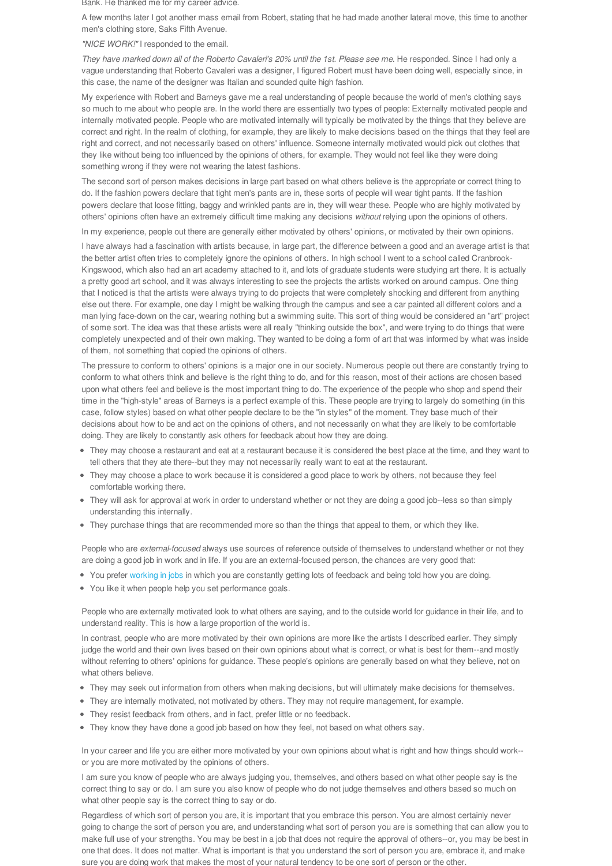Bank. He thanked me for my career advice.

A few months later I got another mass email from Robert, stating that he had made another lateral move, this time to another men's clothing store, Saks Fifth Avenue.

# *"NICE WORK!"* I responded to the email.

They have marked down all of the Roberto Cavaleri's 20% until the 1st. Please see me. He responded. Since I had only a vague understanding that Roberto Cavaleri was a designer, I figured Robert must have been doing well, especially since, in this case, the name of the designer was Italian and sounded quite high fashion.

My experience with Robert and Barneys gave me a real understanding of people because the world of men's clothing says so much to me about who people are. In the world there are essentially two types of people: Externally motivated people and internally motivated people. People who are motivated internally will typically be motivated by the things that they believe are correct and right. In the realm of clothing, for example, they are likely to make decisions based on the things that they feel are right and correct, and not necessarily based on others' influence. Someone internally motivated would pick out clothes that they like without being too influenced by the opinions of others, for example. They would not feel like they were doing something wrong if they were not wearing the latest fashions.

The second sort of person makes decisions in large part based on what others believe is the appropriate or correct thing to do. If the fashion powers declare that tight men's pants are in, these sorts of people will wear tight pants. If the fashion powers declare that loose fitting, baggy and wrinkled pants are in, they will wear these. People who are highly motivated by others' opinions often have an extremely difficult time making any decisions *without* relying upon the opinions of others.

In my experience, people out there are generally either motivated by others' opinions, or motivated by their own opinions.

I have always had a fascination with artists because, in large part, the difference between a good and an average artist is that the better artist often tries to completely ignore the opinions of others. In high school I went to a school called Cranbrook-Kingswood, which also had an art academy attached to it, and lots of graduate students were studying art there. It is actually a pretty good art school, and it was always interesting to see the projects the artists worked on around campus. One thing that I noticed is that the artists were always trying to do projects that were completely shocking and different from anything else out there. For example, one day I might be walking through the campus and see a car painted all different colors and a man lying face-down on the car, wearing nothing but a swimming suite. This sort of thing would be considered an "art" project of some sort. The idea was that these artists were all really "thinking outside the box", and were trying to do things that were completely unexpected and of their own making. They wanted to be doing a form of art that was informed by what was inside of them, not something that copied the opinions of others.

The pressure to conform to others' opinions is a major one in our society. Numerous people out there are constantly trying to conform to what others think and believe is the right thing to do, and for this reason, most of their actions are chosen based upon what others feel and believe is the most important thing to do. The experience of the people who shop and spend their time in the "high-style" areas of Barneys is a perfect example of this. These people are trying to largely do something (in this case, follow styles) based on what other people declare to be the "in styles" of the moment. They base much of their decisions about how to be and act on the opinions of others, and not necessarily on what they are likely to be comfortable doing. They are likely to constantly ask others for feedback about how they are doing.

- They may choose a restaurant and eat at a restaurant because it is considered the best place at the time, and they want to tell others that they ate there--but they may not necessarily really want to eat at the restaurant.
- They may choose a place to work because it is considered a good place to work by others, not because they feel comfortable working there.
- They will ask for approval at work in order to understand whether or not they are doing a good job--less so than simply understanding this internally.
- They purchase things that are recommended more so than the things that appeal to them, or which they like.

People who are *external-focused* always use sources of reference outside of themselves to understand whether or not they are doing a good job in work and in life. If you are an external-focused person, the chances are very good that:

- You prefer working in jobs in which you are constantly getting lots of feedback and being told how you are doing.
- You like it when people help you set performance goals.

People who are externally motivated look to what others are saying, and to the outside world for guidance in their life, and to understand reality. This is how a large proportion of the world is.

In contrast, people who are more motivated by their own opinions are more like the artists I described earlier. They simply judge the world and their own lives based on their own opinions about what is correct, or what is best for them--and mostly without referring to others' opinions for guidance. These people's opinions are generally based on what they believe, not on what others believe.

- They may seek out information from others when making decisions, but will ultimately make decisions for themselves.
- They are internally motivated, not motivated by others. They may not require management, for example.
- They resist feedback from others, and in fact, prefer little or no feedback.
- They know they have done a good job based on how they feel, not based on what others say.

In your career and life you are either more motivated by your own opinions about what is right and how things should work- or you are more motivated by the opinions of others.

I am sure you know of people who are always judging you, themselves, and others based on what other people say is the correct thing to say or do. I am sure you also know of people who do not judge themselves and others based so much on what other people say is the correct thing to say or do.

Regardless of which sort of person you are, it is important that you embrace this person. You are almost certainly never going to change the sort of person you are, and understanding what sort of person you are is something that can allow you to make full use of your strengths. You may be best in a job that does not require the approval of others--or, you may be best in one that does. It does not matter. What is important is that you understand the sort of person you are, embrace it, and make sure you are doing work that makes the most of your natural tendency to be one sort of person or the other.